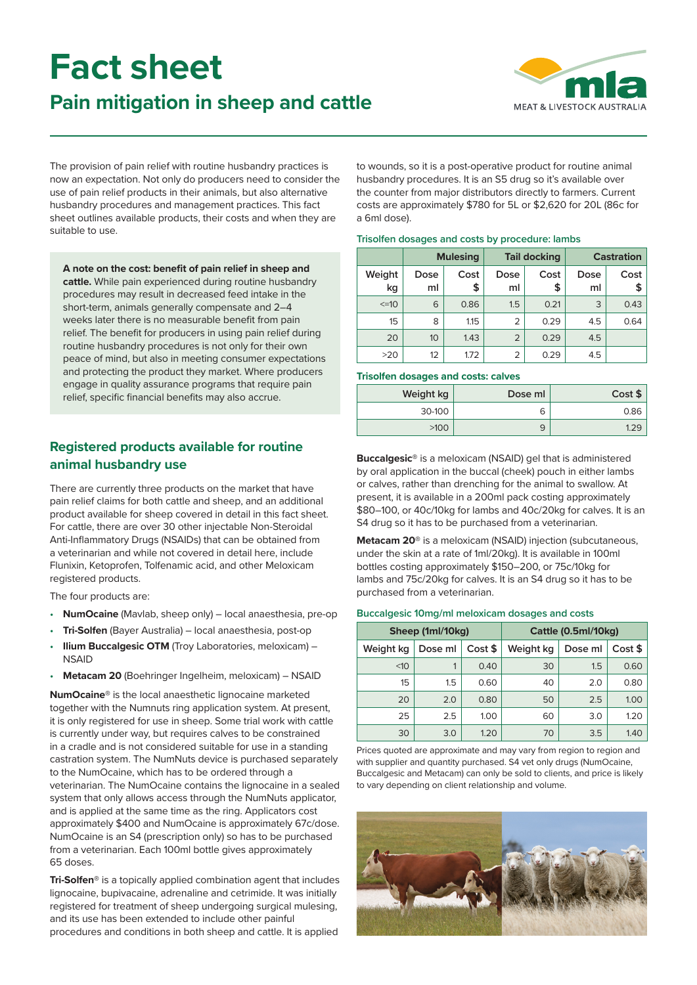# **Fact sheet**

# **Pain mitigation in sheep and cattle**



The provision of pain relief with routine husbandry practices is now an expectation. Not only do producers need to consider the use of pain relief products in their animals, but also alternative husbandry procedures and management practices. This fact sheet outlines available products, their costs and when they are suitable to use.

**A note on the cost: benefit of pain relief in sheep and cattle.** While pain experienced during routine husbandry procedures may result in decreased feed intake in the short-term, animals generally compensate and 2–4 weeks later there is no measurable benefit from pain relief. The benefit for producers in using pain relief during routine husbandry procedures is not only for their own peace of mind, but also in meeting consumer expectations and protecting the product they market. Where producers engage in quality assurance programs that require pain relief, specific financial benefits may also accrue.

# **Registered products available for routine animal husbandry use**

There are currently three products on the market that have pain relief claims for both cattle and sheep, and an additional product available for sheep covered in detail in this fact sheet. For cattle, there are over 30 other injectable Non-Steroidal Anti-Inflammatory Drugs (NSAIDs) that can be obtained from a veterinarian and while not covered in detail here, include Flunixin, Ketoprofen, Tolfenamic acid, and other Meloxicam registered products.

The four products are:

- **NumOcaine** (Mavlab, sheep only) local anaesthesia, pre-op
- **Tri-Solfen** (Bayer Australia) local anaesthesia, post-op
- **Ilium Buccalgesic OTM** (Troy Laboratories, meloxicam) -**NSAID**
- **Metacam 20** (Boehringer Ingelheim, meloxicam) NSAID

**NumOcaine®** is the local anaesthetic lignocaine marketed together with the Numnuts ring application system. At present, it is only registered for use in sheep. Some trial work with cattle is currently under way, but requires calves to be constrained in a cradle and is not considered suitable for use in a standing castration system. The NumNuts device is purchased separately to the NumOcaine, which has to be ordered through a veterinarian. The NumOcaine contains the lignocaine in a sealed system that only allows access through the NumNuts applicator, and is applied at the same time as the ring. Applicators cost approximately \$400 and NumOcaine is approximately 67c/dose. NumOcaine is an S4 (prescription only) so has to be purchased from a veterinarian. Each 100ml bottle gives approximately 65 doses.

**Tri-Solfen®** is a topically applied combination agent that includes lignocaine, bupivacaine, adrenaline and cetrimide. It was initially registered for treatment of sheep undergoing surgical mulesing, and its use has been extended to include other painful procedures and conditions in both sheep and cattle. It is applied

to wounds, so it is a post-operative product for routine animal husbandry procedures. It is an S5 drug so it's available over the counter from major distributors directly to farmers. Current costs are approximately \$780 for 5L or \$2,620 for 20L (86c for a 6ml dose).

#### **Trisolfen dosages and costs by procedure: lambs**

|              | <b>Mulesing</b> |            | <b>Tail docking</b> |            | <b>Castration</b> |            |
|--------------|-----------------|------------|---------------------|------------|-------------------|------------|
| Weight<br>kg | Dose<br>ml      | Cost<br>\$ | Dose<br>ml          | Cost<br>\$ | Dose<br>ml        | Cost<br>\$ |
| $\leq$ =10   | 6               | 0.86       | 1.5                 | 0.21       | 3                 | 0.43       |
| 15           | 8               | 1.15       | $\overline{2}$      | 0.29       | 4.5               | 0.64       |
| 20           | 10              | 1.43       | $\overline{2}$      | 0.29       | 4.5               |            |
| >20          | 12              | 1.72       | $\overline{2}$      | 0.29       | 4.5               |            |

#### **Trisolfen dosages and costs: calves**

| Weight kg | Dose ml | Cost \$ |
|-----------|---------|---------|
| 30-100    | ь       | 0.86    |
| >100      | 9       |         |

**Buccalgesic®** is a meloxicam (NSAID) gel that is administered by oral application in the buccal (cheek) pouch in either lambs or calves, rather than drenching for the animal to swallow. At present, it is available in a 200ml pack costing approximately \$80–100, or 40c/10kg for lambs and 40c/20kg for calves. It is an S4 drug so it has to be purchased from a veterinarian.

**Metacam 20®** is a meloxicam (NSAID) injection (subcutaneous, under the skin at a rate of 1ml/20kg). It is available in 100ml bottles costing approximately \$150–200, or 75c/10kg for lambs and 75c/20kg for calves. It is an S4 drug so it has to be purchased from a veterinarian.

#### **Buccalgesic 10mg/ml meloxicam dosages and costs**

|           | Sheep (1ml/10kg) |         | Cattle (0.5ml/10kg) |         |         |
|-----------|------------------|---------|---------------------|---------|---------|
| Weight kg | Dose ml          | Cost \$ | Weight kg           | Dose ml | Cost \$ |
| <10       |                  | 0.40    | 30                  | 1.5     | 0.60    |
| 15        | 1.5              | 0.60    | 40                  | 2.0     | 0.80    |
| 20        | 2.0              | 0.80    | 50                  | 2.5     | 1.00    |
| 25        | 2.5              | 1.00    | 60                  | 3.0     | 1.20    |
| 30        | 3.0              | 1.20    | 70                  | 3.5     | 1.40    |

Prices quoted are approximate and may vary from region to region and with supplier and quantity purchased. S4 vet only drugs (NumOcaine, Buccalgesic and Metacam) can only be sold to clients, and price is likely to vary depending on client relationship and volume.